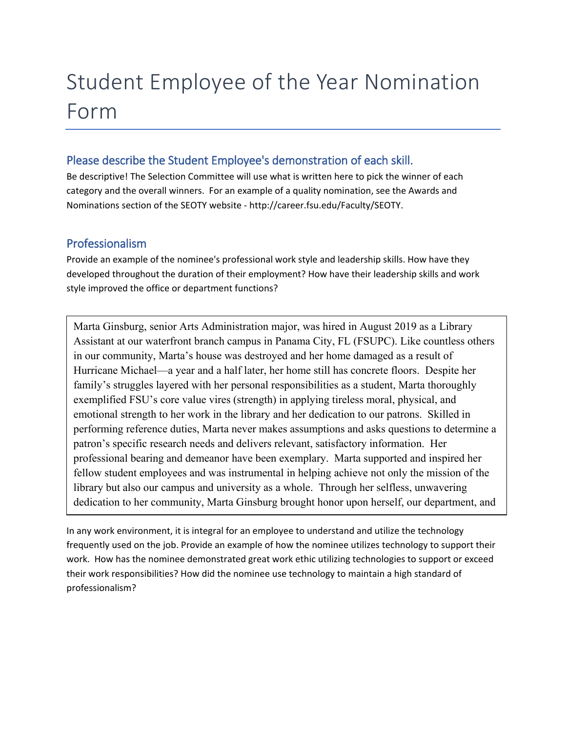# Student Employee of the Year Nomination Form

## Please describe the Student Employee's demonstration of each skill.

Be descriptive! The Selection Committee will use what is written here to pick the winner of each category and the overall winners. For an example of a quality nomination, see the Awards and Nominations section of the SEOTY website - http://career.fsu.edu/Faculty/SEOTY.

#### Professionalism

j

Provide an example of the nominee's professional work style and leadership skills. How have they developed throughout the duration of their employment? How have their leadership skills and work style improved the office or department functions?

Marta Ginsburg, senior Arts Administration major, was hired in August 2019 as a Library Assistant at our waterfront branch campus in Panama City, FL (FSUPC). Like countless others in our community, Marta's house was destroyed and her home damaged as a result of Hurricane Michael—a year and a half later, her home still has concrete floors. Despite her family's struggles layered with her personal responsibilities as a student, Marta thoroughly exemplified FSU's core value vires (strength) in applying tireless moral, physical, and emotional strength to her work in the library and her dedication to our patrons. Skilled in performing reference duties, Marta never makes assumptions and asks questions to determine a patron's specific research needs and delivers relevant, satisfactory information. Her professional bearing and demeanor have been exemplary. Marta supported and inspired her fellow student employees and was instrumental in helping achieve not only the mission of the library but also our campus and university as a whole. Through her selfless, unwavering dedication to her community, Marta Ginsburg brought honor upon herself, our department, and

In any work environment, it is integral for an employee to understand and utilize the technology frequently used on the job. Provide an example of how the nominee utilizes technology to support their work. How has the nominee demonstrated great work ethic utilizing technologies to support or exceed their work responsibilities? How did the nominee use technology to maintain a high standard of professionalism?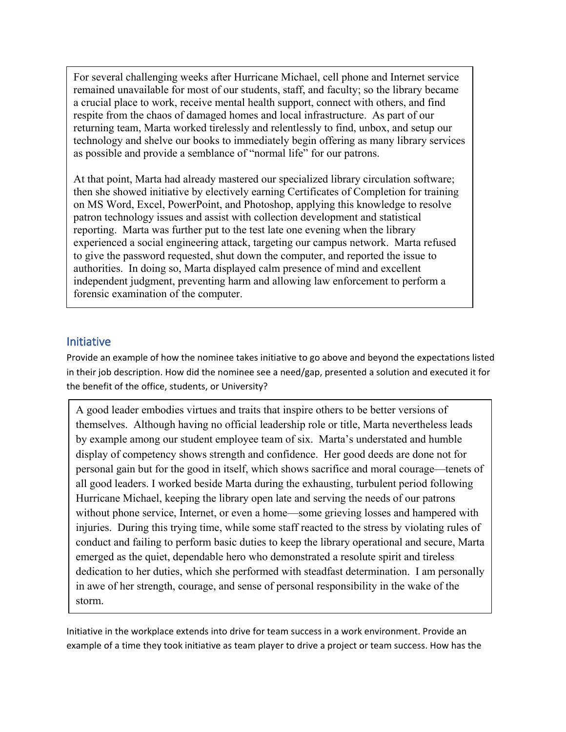For several challenging weeks after Hurricane Michael, cell phone and Internet service remained unavailable for most of our students, staff, and faculty; so the library became a crucial place to work, receive mental health support, connect with others, and find respite from the chaos of damaged homes and local infrastructure. As part of our returning team, Marta worked tirelessly and relentlessly to find, unbox, and setup our technology and shelve our books to immediately begin offering as many library services as possible and provide a semblance of "normal life" for our patrons.

At that point, Marta had already mastered our specialized library circulation software; then she showed initiative by electively earning Certificates of Completion for training on MS Word, Excel, PowerPoint, and Photoshop, applying this knowledge to resolve patron technology issues and assist with collection development and statistical reporting. Marta was further put to the test late one evening when the library experienced a social engineering attack, targeting our campus network. Marta refused to give the password requested, shut down the computer, and reported the issue to authorities. In doing so, Marta displayed calm presence of mind and excellent independent judgment, preventing harm and allowing law enforcement to perform a forensic examination of the computer.

#### Initiative

Provide an example of how the nominee takes initiative to go above and beyond the expectations listed in their job description. How did the nominee see a need/gap, presented a solution and executed it for the benefit of the office, students, or University?

A good leader embodies virtues and traits that inspire others to be better versions of themselves. Although having no official leadership role or title, Marta nevertheless leads by example among our student employee team of six. Marta's understated and humble display of competency shows strength and confidence. Her good deeds are done not for personal gain but for the good in itself, which shows sacrifice and moral courage—tenets of all good leaders. I worked beside Marta during the exhausting, turbulent period following Hurricane Michael, keeping the library open late and serving the needs of our patrons without phone service, Internet, or even a home—some grieving losses and hampered with injuries. During this trying time, while some staff reacted to the stress by violating rules of conduct and failing to perform basic duties to keep the library operational and secure, Marta emerged as the quiet, dependable hero who demonstrated a resolute spirit and tireless dedication to her duties, which she performed with steadfast determination. I am personally in awe of her strength, courage, and sense of personal responsibility in the wake of the storm.

Initiative in the workplace extends into drive for team success in a work environment. Provide an example of a time they took initiative as team player to drive a project or team success. How has the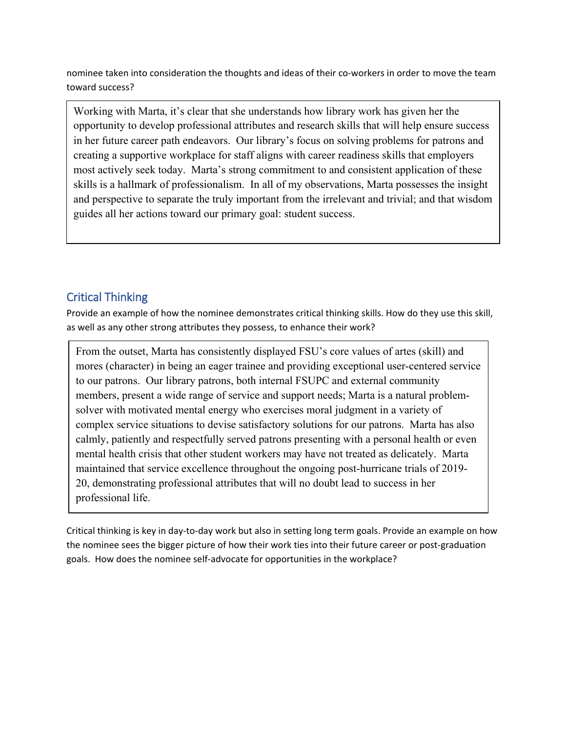nominee taken into consideration the thoughts and ideas of their co-workers in order to move the team toward success?

Working with Marta, it's clear that she understands how library work has given her the opportunity to develop professional attributes and research skills that will help ensure success in her future career path endeavors. Our library's focus on solving problems for patrons and creating a supportive workplace for staff aligns with career readiness skills that employers most actively seek today. Marta's strong commitment to and consistent application of these skills is a hallmark of professionalism. In all of my observations, Marta possesses the insight and perspective to separate the truly important from the irrelevant and trivial; and that wisdom guides all her actions toward our primary goal: student success.

# Critical Thinking

Provide an example of how the nominee demonstrates critical thinking skills. How do they use this skill, as well as any other strong attributes they possess, to enhance their work?

From the outset, Marta has consistently displayed FSU's core values of artes (skill) and mores (character) in being an eager trainee and providing exceptional user-centered service to our patrons. Our library patrons, both internal FSUPC and external community members, present a wide range of service and support needs; Marta is a natural problemsolver with motivated mental energy who exercises moral judgment in a variety of complex service situations to devise satisfactory solutions for our patrons. Marta has also calmly, patiently and respectfully served patrons presenting with a personal health or even mental health crisis that other student workers may have not treated as delicately. Marta maintained that service excellence throughout the ongoing post-hurricane trials of 2019- 20, demonstrating professional attributes that will no doubt lead to success in her professional life.

Critical thinking is key in day-to-day work but also in setting long term goals. Provide an example on how the nominee sees the bigger picture of how their work ties into their future career or post-graduation goals. How does the nominee self-advocate for opportunities in the workplace?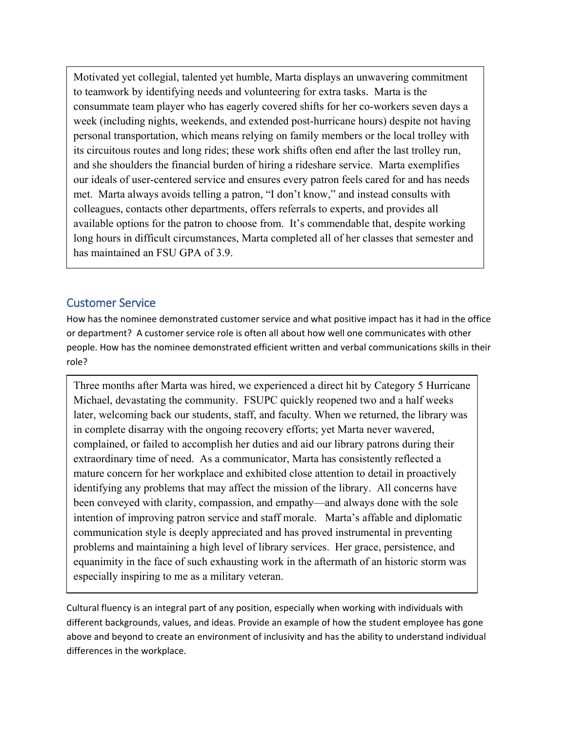Motivated yet collegial, talented yet humble, Marta displays an unwavering commitment to teamwork by identifying needs and volunteering for extra tasks. Marta is the consummate team player who has eagerly covered shifts for her co-workers seven days a week (including nights, weekends, and extended post-hurricane hours) despite not having personal transportation, which means relying on family members or the local trolley with its circuitous routes and long rides; these work shifts often end after the last trolley run, and she shoulders the financial burden of hiring a rideshare service. Marta exemplifies our ideals of user-centered service and ensures every patron feels cared for and has needs met. Marta always avoids telling a patron, "I don't know," and instead consults with colleagues, contacts other departments, offers referrals to experts, and provides all available options for the patron to choose from. It's commendable that, despite working long hours in difficult circumstances, Marta completed all of her classes that semester and has maintained an FSU GPA of 3.9.

#### Customer Service

How has the nominee demonstrated customer service and what positive impact has it had in the office or department? A customer service role is often all about how well one communicates with other people. How has the nominee demonstrated efficient written and verbal communications skills in their role?

Three months after Marta was hired, we experienced a direct hit by Category 5 Hurricane Michael, devastating the community. FSUPC quickly reopened two and a half weeks later, welcoming back our students, staff, and faculty. When we returned, the library was in complete disarray with the ongoing recovery efforts; yet Marta never wavered, complained, or failed to accomplish her duties and aid our library patrons during their extraordinary time of need. As a communicator, Marta has consistently reflected a mature concern for her workplace and exhibited close attention to detail in proactively identifying any problems that may affect the mission of the library. All concerns have been conveyed with clarity, compassion, and empathy—and always done with the sole intention of improving patron service and staff morale. Marta's affable and diplomatic communication style is deeply appreciated and has proved instrumental in preventing problems and maintaining a high level of library services. Her grace, persistence, and equanimity in the face of such exhausting work in the aftermath of an historic storm was especially inspiring to me as a military veteran.

Cultural fluency is an integral part of any position, especially when working with individuals with different backgrounds, values, and ideas. Provide an example of how the student employee has gone above and beyond to create an environment of inclusivity and has the ability to understand individual differences in the workplace.